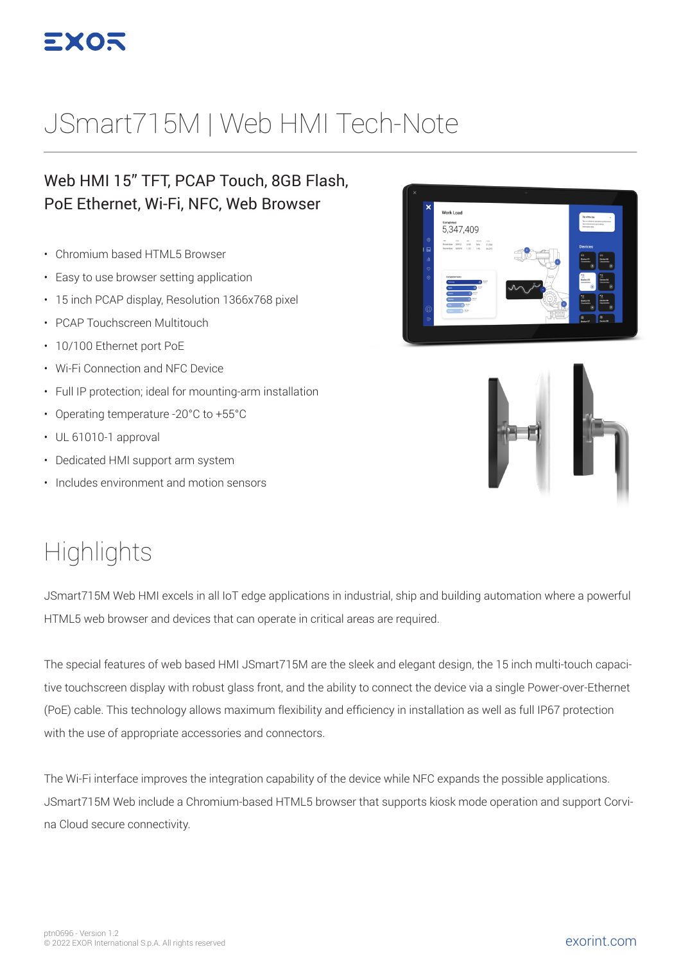

# JSmart715M | Web HMI Tech-Note

#### Web HMI 15" TFT, PCAP Touch, 8GB Flash, PoE Ethernet, Wi-Fi, NFC, Web Browser

- Chromium based HTML5 Browser
- Easy to use browser setting application
- 15 inch PCAP display, Resolution 1366x768 pixel
- PCAP Touchscreen Multitouch
- 10/100 Ethernet port PoE
- Wi-Fi Connection and NFC Device
- Full IP protection; ideal for mounting-arm installation
- Operating temperature -20°C to +55°C
- UL 61010-1 approval
- Dedicated HMI support arm system
- Includes environment and motion sensors





### **Highlights**

JSmart715M Web HMI excels in all IoT edge applications in industrial, ship and building automation where a powerful HTML5 web browser and devices that can operate in critical areas are required.

The special features of web based HMI JSmart715M are the sleek and elegant design, the 15 inch multi-touch capacitive touchscreen display with robust glass front, and the ability to connect the device via a single Power-over-Ethernet (PoE) cable. This technology allows maximum flexibility and efficiency in installation as well as full IP67 protection with the use of appropriate accessories and connectors.

The Wi-Fi interface improves the integration capability of the device while NFC expands the possible applications. JSmart715M Web include a Chromium-based HTML5 browser that supports kiosk mode operation and support Corvina Cloud secure connectivity.